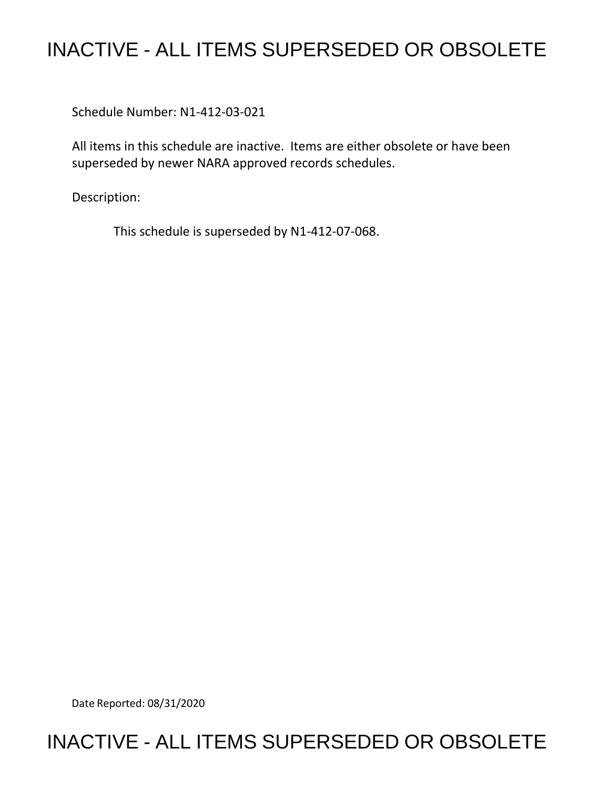# INACTIVE - ALL ITEMS SUPERSEDED OR OBSOLETE

Schedule Number: N1-412-03-021

All items in this schedule are inactive. Items are either obsolete or have been superseded by newer NARA approved records schedules.

Description:

This schedule is superseded by N1-412-07-068.

Date Reported: 08/31/2020

# INACTIVE - ALL ITEMS SUPERSEDED OR OBSOLETE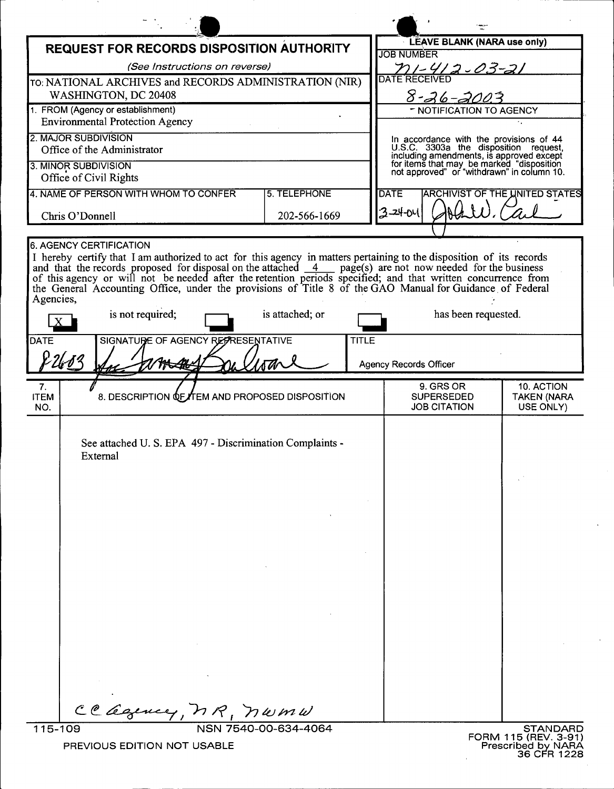| <b>REQUEST FOR RECORDS DISPOSITION AUTHORITY</b>                                                                                                                                                                                                                                                                                                                                                                                                                                                            |                 | LEAVE BLANK (NARA use only)                                                                                                         |                                               |
|-------------------------------------------------------------------------------------------------------------------------------------------------------------------------------------------------------------------------------------------------------------------------------------------------------------------------------------------------------------------------------------------------------------------------------------------------------------------------------------------------------------|-----------------|-------------------------------------------------------------------------------------------------------------------------------------|-----------------------------------------------|
| (See Instructions on reverse)                                                                                                                                                                                                                                                                                                                                                                                                                                                                               |                 | <b>JOB NUMBER</b>                                                                                                                   |                                               |
| TO: NATIONAL ARCHIVES and RECORDS ADMINISTRATION (NIR)                                                                                                                                                                                                                                                                                                                                                                                                                                                      |                 | <u>71 - 41 2 - 03 - 21</u><br>DATE RECEIVED                                                                                         |                                               |
| WASHINGTON, DC 20408                                                                                                                                                                                                                                                                                                                                                                                                                                                                                        |                 | 8-26-2003                                                                                                                           |                                               |
| 1. FROM (Agency or establishment)<br><b>Environmental Protection Agency</b>                                                                                                                                                                                                                                                                                                                                                                                                                                 |                 | - NOTIFICATION TO AGENCY                                                                                                            |                                               |
| 2. MAJOR SUBDIVISION                                                                                                                                                                                                                                                                                                                                                                                                                                                                                        |                 |                                                                                                                                     |                                               |
| Office of the Administrator                                                                                                                                                                                                                                                                                                                                                                                                                                                                                 |                 | In accordance with the provisions of 44<br>U.S.C. 3303a the disposition request,                                                    |                                               |
| 3. MINOR SUBDIVISION                                                                                                                                                                                                                                                                                                                                                                                                                                                                                        |                 | including amendments, is approved except<br>for items that may be marked "disposition<br>not approved" or "withdrawn" in column 10. |                                               |
| Office of Civil Rights                                                                                                                                                                                                                                                                                                                                                                                                                                                                                      |                 |                                                                                                                                     |                                               |
| 4. NAME OF PERSON WITH WHOM TO CONFER                                                                                                                                                                                                                                                                                                                                                                                                                                                                       | 5. TELEPHONE    | <b>DATE</b>                                                                                                                         | <b>ARCHIVIST OF THE UNITED STATES</b>         |
| Chris O'Donnell                                                                                                                                                                                                                                                                                                                                                                                                                                                                                             | 202-566-1669    | 3-24-04                                                                                                                             |                                               |
| <b>6. AGENCY CERTIFICATION</b>                                                                                                                                                                                                                                                                                                                                                                                                                                                                              |                 |                                                                                                                                     |                                               |
| I hereby certify that I am authorized to act for this agency in matters pertaining to the disposition of its records<br>and that the records proposed for disposal on the attached $\frac{4}{-4}$ page(s) are not now needed for the business<br>of this agency or will not be needed after the retention periods specified; and that written concurrence from<br>the General Accounting Office, under the provisions of Title 8 of the GAO Manual for Guidance of Federal<br>Agencies,<br>is not required; | is attached; or | has been requested.                                                                                                                 |                                               |
| <b>DATE</b><br>SIGNATURE OF AGENCY REPRESENTATIVE                                                                                                                                                                                                                                                                                                                                                                                                                                                           | <b>TITLE</b>    |                                                                                                                                     |                                               |
|                                                                                                                                                                                                                                                                                                                                                                                                                                                                                                             |                 | <b>Agency Records Officer</b>                                                                                                       |                                               |
|                                                                                                                                                                                                                                                                                                                                                                                                                                                                                                             |                 |                                                                                                                                     |                                               |
| 7.<br>8. DESCRIPTION <b>QF/TEM AND PROPOSED DISPOSITION</b><br><b>ITEM</b><br>NO.                                                                                                                                                                                                                                                                                                                                                                                                                           |                 | 9. GRS OR<br><b>SUPERSEDED</b><br><b>JOB CITATION</b>                                                                               | 10. ACTION<br><b>TAKEN (NARA</b><br>USE ONLY) |
| See attached U.S. EPA 497 - Discrimination Complaints -<br>External<br>CC agency, MR, numu                                                                                                                                                                                                                                                                                                                                                                                                                  |                 |                                                                                                                                     |                                               |
| 115-109<br>NSN 7540-00-634-4064<br><b>STANDARD</b><br>FORM 115 (REV. 3-91)<br>Prescribed by NARA<br>PREVIOUS EDITION NOT USABLE                                                                                                                                                                                                                                                                                                                                                                             |                 |                                                                                                                                     |                                               |

EDITION NOT USA

**NWML**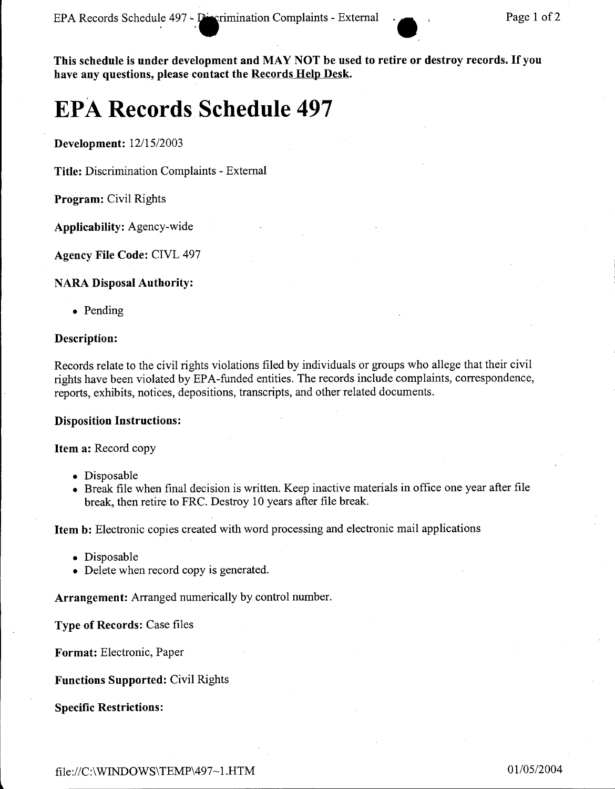This schedule is under development and MAY NOT be used to retire or destroy records. If you have any questions, please contact the Records Help Desk.

# **EPA Records Schedule 497**

Development: *12115/2003*

Title: Discrimination Complaints - External

Program: Civil Rights

Applicability: Agency-wide

Agency File Code: CIVL 497

#### NARA Disposal Authority:

• Pending

#### Description:

Records relate to the civil rights violations filed by individuals or groups who allege that their civil rights have been violated by EPA-funded entities. The records include complaints, correspondence, reports, exhibits, notices, depositions, transcripts, and other related documents.

#### Disposition Instructions:

Item a: Record copy

- Disposable
- Break file when final decision is written. Keep inactive materials in office one year after file break, then retire to FRC. Destroy 10 years after file break.

Item b: Electronic copies created with word processing and electronic mail applications

- Disposable
- Delete when record copy is generated.

Arrangement: Arranged numerically by control number.

Type of Records: Case files

Format: Electronic, Paper

Functions Supported: Civil Rights

Specific Restrictions: